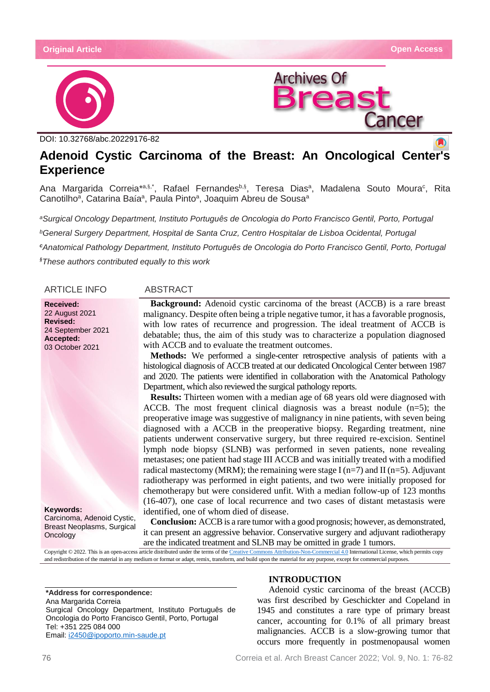



DOI: 10.32768/abc.20229176-82

# **Adenoid Cystic Carcinoma of the Breast: An Oncological Cent[er](https://crossmark.crossref.org/dialog/?doi=10.32768/abc.202184267-276=pdf)'[s](https://crossmark.crossref.org/dialog/?doi=10.32768/abc.202184267-276=pdf) Experience**

Ana Margarida Correia\*<sup>a,§,\*</sup>, Rafael Fernandes<sup>b,§</sup>, Teresa Dias<sup>a</sup>, Madalena Souto Moura<sup>c</sup>, Rita Canotilho<sup>a</sup>, Catarina Baía<sup>a</sup>, Paula Pinto<sup>a</sup>, Joaquim Abreu de Sousa<sup>a</sup>

*<sup>a</sup>Surgical Oncology Department, Instituto Português de Oncologia do Porto Francisco Gentil, Porto, Portugal <sup>b</sup>General Surgery Department, Hospital de Santa Cruz, Centro Hospitalar de Lisboa Ocidental, Portugal <sup>c</sup>Anatomical Pathology Department, Instituto Português de Oncologia do Porto Francisco Gentil, Porto, Portugal §These authors contributed equally to this work*

ARTICLE INFO ABSTRACT

**Received:** 22 August 2021 **Revised:** 24 September 2021 **Accepted:** 03 October 2021

**Keywords:** Carcinoma, Adenoid Cystic, Breast Neoplasms, Surgical **Oncology** 

**Background:** Adenoid cystic carcinoma of the breast (ACCB) is a rare breast malignancy. Despite often being a triple negative tumor, it has a favorable prognosis, with low rates of recurrence and progression. The ideal treatment of ACCB is debatable; thus, the aim of this study was to characterize a population diagnosed with ACCB and to evaluate the treatment outcomes.

**Methods:** We performed a single-center retrospective analysis of patients with a histological diagnosis of ACCB treated at our dedicated Oncological Center between 1987 and 2020. The patients were identified in collaboration with the Anatomical Pathology Department, which also reviewed the surgical pathology reports.

**Results:** Thirteen women with a median age of 68 years old were diagnosed with ACCB. The most frequent clinical diagnosis was a breast nodule  $(n=5)$ ; the preoperative image was suggestive of malignancy in nine patients, with seven being diagnosed with a ACCB in the preoperative biopsy. Regarding treatment, nine patients underwent conservative surgery, but three required re-excision. Sentinel lymph node biopsy (SLNB) was performed in seven patients, none revealing metastases; one patient had stage III ACCB and was initially treated with a modified radical mastectomy (MRM); the remaining were stage I (n=7) and II (n=5). Adjuvant radiotherapy was performed in eight patients, and two were initially proposed for chemotherapy but were considered unfit. With a median follow-up of 123 months (16-407), one case of local recurrence and two cases of distant metastasis were identified, one of whom died of disease.

**Conclusion:** ACCB is a rare tumor with a good prognosis; however, as demonstrated, it can present an aggressive behavior. Conservative surgery and adjuvant radiotherapy are the indicated treatment and SLNB may be omitted in grade 1 tumors.

Copyright © 2022. This is an open-access article distributed under the terms of th[e Creative Commons Attribution-Non-Commercial 4.0](https://creativecommons.org/licenses/by-nc/4.0/) International License, which permits copy and redistribution of the material in any medium or format or adapt, remix, transform, and build upon the material for any purpose, except for commercial purposes.

**\*Address for correspondence:** Ana Margarida Correia Surgical Oncology Department, Instituto Português de Oncologia do Porto Francisco Gentil, Porto, Portugal Tel: +351 225 084 000 Email: [i2450@ipoporto.min-saude.pt](mailto:i2450@ipoporto.min-saude.pt)

# **INTRODUCTION**

Adenoid cystic carcinoma of the breast (ACCB) was first described by Geschickter and Copeland in 1945 and constitutes a rare type of primary breast cancer, accounting for 0.1% of all primary breast malignancies. ACCB is a slow-growing tumor that occurs more frequently in postmenopausal women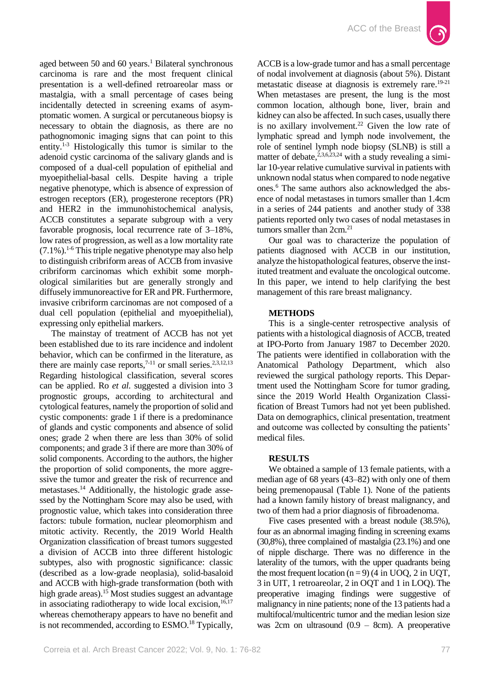

aged between 50 and 60 years.<sup>1</sup> Bilateral synchronous carcinoma is rare and the most frequent clinical presentation is a well-defined retroareolar mass or mastalgia, with a small percentage of cases being incidentally detected in screening exams of asymptomatic women. A surgical or percutaneous biopsy is necessary to obtain the diagnosis, as there are no pathognomonic imaging signs that can point to this entity.<sup>1-3</sup> Histologically this tumor is similar to the adenoid cystic carcinoma of the salivary glands and is composed of a dual-cell population of epithelial and myoepithelial-basal cells. Despite having a triple negative phenotype, which is absence of expression of estrogen receptors (ER), progesterone receptors (PR) and HER2 in the immunohistochemical analysis, ACCB constitutes a separate subgroup with a very favorable prognosis, local recurrence rate of 3–18%, low rates of progression, as well as a low mortality rate  $(7.1\%)$ <sup>1-6</sup> This triple negative phenotype may also help to distinguish cribriform areas of ACCB from invasive cribriform carcinomas which exhibit some morphological similarities but are generally strongly and diffusely immunoreactive for ER and PR. Furthermore, invasive cribriform carcinomas are not composed of a dual cell population (epithelial and myoepithelial), expressing only epithelial markers.

The mainstay of treatment of ACCB has not yet been established due to its rare incidence and indolent behavior, which can be confirmed in the literature, as there are mainly case reports,<sup> $7-11$ </sup> or small series.<sup>2,3,12,13</sup> Regarding histological classification, several scores can be applied. Ro *et al.* suggested a division into 3 prognostic groups, according to architectural and cytological features, namely the proportion of solid and cystic components: grade 1 if there is a predominance of glands and cystic components and absence of solid ones; grade 2 when there are less than 30% of solid components; and grade 3 if there are more than 30% of solid components. According to the authors, the higher the proportion of solid components, the more aggressive the tumor and greater the risk of recurrence and metastases.<sup>14</sup> Additionally, the histologic grade assessed by the Nottingham Score may also be used, with prognostic value, which takes into consideration three factors: tubule formation, nuclear pleomorphism and mitotic activity. Recently, the 2019 World Health Organization classification of breast tumors suggested a division of ACCB into three different histologic subtypes, also with prognostic significance: classic (described as a low-grade neoplasia), solid-basaloid and ACCB with high-grade transformation (both with high grade areas).<sup>15</sup> Most studies suggest an advantage in associating radiotherapy to wide local excision, $16,17$ whereas chemotherapy appears to have no benefit and is not recommended, according to ESMO.<sup>18</sup> Typically,

ACCB is a low-grade tumor and has a small percentage of nodal involvement at diagnosis (about 5%). Distant metastatic disease at diagnosis is extremely rare.<sup>19-21</sup> When metastases are present, the lung is the most common location, although bone, liver, brain and kidney can also be affected. In such cases, usually there is no axillary involvement.<sup>22</sup> Given the low rate of lymphatic spread and lymph node involvement, the role of sentinel lymph node biopsy (SLNB) is still a matter of debate,  $2,3,6,23,24$  with a study revealing a similar 10-year relative cumulative survival in patients with unknown nodal status when compared to node negative ones.<sup>6</sup> The same authors also acknowledged the absence of nodal metastases in tumors smaller than 1.4cm in a series of 244 patients and another study of 338 patients reported only two cases of nodal metastases in tumors smaller than 2cm.<sup>21</sup>

Our goal was to characterize the population of patients diagnosed with ACCB in our institution, analyze the histopathological features, observe the instituted treatment and evaluate the oncological outcome. In this paper, we intend to help clarifying the best management of this rare breast malignancy.

### **METHODS**

This is a single-center retrospective analysis of patients with a histological diagnosis of ACCB, treated at IPO-Porto from January 1987 to December 2020. The patients were identified in collaboration with the Anatomical Pathology Department, which also reviewed the surgical pathology reports. This Department used the Nottingham Score for tumor grading, since the 2019 World Health Organization Classification of Breast Tumors had not yet been published. Data on demographics, clinical presentation, treatment and outcome was collected by consulting the patients' medical files.

### **RESULTS**

We obtained a sample of 13 female patients, with a median age of 68 years (43–82) with only one of them being premenopausal (Table 1). None of the patients had a known family history of breast malignancy, and two of them had a prior diagnosis of fibroadenoma.

Five cases presented with a breast nodule (38.5%), four as an abnormal imaging finding in screening exams (30,8%), three complained of mastalgia (23.1%) and one of nipple discharge. There was no difference in the laterality of the tumors, with the upper quadrants being the most frequent location  $(n = 9)$  (4 in UOQ, 2 in UQT, 3 in UIT, 1 retroareolar, 2 in OQT and 1 in LOQ). The preoperative imaging findings were suggestive of malignancy in nine patients; none of the 13 patients had a multifocal/multicentric tumor and the median lesion size was 2cm on ultrasound (0.9 – 8cm). A preoperative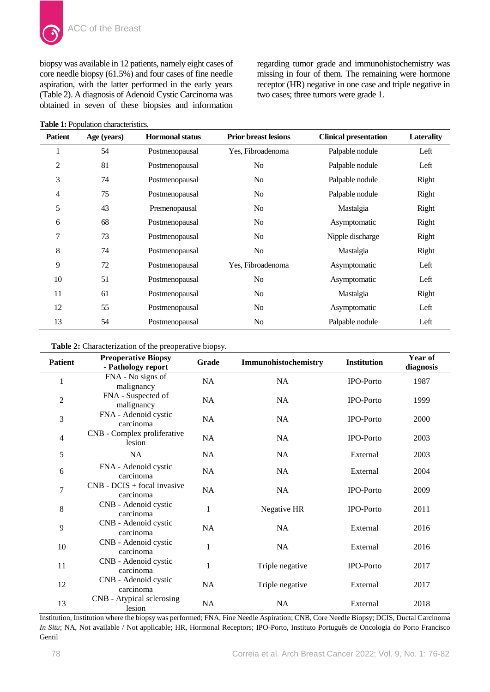biopsy was available in 12 patients, namely eight cases of core needle biopsy (61.5%) and four cases of fine needle aspiration, with the latter performed in the early years (Table 2). A diagnosis of Adenoid Cystic Carcinoma was obtained in seven of these biopsies and information

**Table 1:** Population characteristics.

regarding tumor grade and immunohistochemistry was missing in four of them. The remaining were hormone receptor (HR) negative in one case and triple negative in two cases; three tumors were grade 1.

| <b>Patient</b> | Age (years) | <b>Hormonal status</b> | <b>Prior breast lesions</b> | <b>Clinical presentation</b> | <b>Laterality</b> |
|----------------|-------------|------------------------|-----------------------------|------------------------------|-------------------|
| 1              | 54          | Postmenopausal         | Yes, Fibroadenoma           | Palpable nodule              | Left              |
| 2              | 81          | Postmenopausal         | N <sub>o</sub>              | Palpable nodule              | Left              |
| 3              | 74          | Postmenopausal         | No                          | Palpable nodule              | Right             |
| 4              | 75          | Postmenopausal         | No.                         | Palpable nodule              | Right             |
| 5              | 43          | Premenopausal          | N <sub>0</sub>              | Mastalgia                    | Right             |
| 6              | 68          | Postmenopausal         | No                          | Asymptomatic                 | Right             |
| 7              | 73          | Postmenopausal         | No                          | Nipple discharge             | Right             |
| 8              | 74          | Postmenopausal         | No                          | Mastalgia                    | Right             |
| 9              | 72          | Postmenopausal         | Yes, Fibroadenoma           | Asymptomatic                 | Left              |
| 10             | 51          | Postmenopausal         | N <sub>o</sub>              | Asymptomatic                 | Left              |
| 11             | 61          | Postmenopausal         | No                          | Mastalgia                    | Right             |
| 12             | 55          | Postmenopausal         | No                          | Asymptomatic                 | Left              |
| 13             | 54          | Postmenopausal         | No.                         | Palpable nodule              | Left              |

**Table 2:** Characterization of the preoperative biopsy.

| <b>Patient</b> | <b>Preoperative Biopsy</b><br>- Pathology report | Grade        | Immunohistochemistry | <b>Institution</b> | Year of<br>diagnosis |
|----------------|--------------------------------------------------|--------------|----------------------|--------------------|----------------------|
| 1              | FNA - No signs of<br>malignancy                  | NA           | NA                   | IPO-Porto          | 1987                 |
| $\overline{2}$ | FNA - Suspected of<br>malignancy                 | NA           | <b>NA</b>            | <b>IPO-Porto</b>   | 1999                 |
| 3              | FNA - Adenoid cystic<br>carcinoma                | <b>NA</b>    | <b>NA</b>            | <b>IPO-Porto</b>   | 2000                 |
| 4              | CNB - Complex proliferative<br>lesion            | <b>NA</b>    | <b>NA</b>            | <b>IPO-Porto</b>   | 2003                 |
| 5              | NA                                               | <b>NA</b>    | <b>NA</b>            | External           | 2003                 |
| 6              | FNA - Adenoid cystic<br>carcinoma                | NA           | NA                   | External           | 2004                 |
| 7              | $CNB$ - $DCIS$ + focal invasive<br>carcinoma     | NA           | NA                   | IPO-Porto          | 2009                 |
| 8              | CNB - Adenoid cystic<br>carcinoma                | $\mathbf{1}$ | Negative HR          | <b>IPO-Porto</b>   | 2011                 |
| 9              | CNB - Adenoid cystic<br>carcinoma                | NA           | NA                   | External           | 2016                 |
| 10             | CNB - Adenoid cystic<br>carcinoma                | $\mathbf{1}$ | <b>NA</b>            | External           | 2016                 |
| 11             | CNB - Adenoid cystic<br>carcinoma                | $\mathbf{1}$ | Triple negative      | <b>IPO-Porto</b>   | 2017                 |
| 12             | CNB - Adenoid cystic<br>carcinoma                | NA           | Triple negative      | External           | 2017                 |
| 13             | CNB - Atypical sclerosing<br>lesion              | <b>NA</b>    | <b>NA</b>            | External           | 2018                 |

Institution, Institution where the biopsy was performed; FNA, Fine Needle Aspiration; CNB, Core Needle Biopsy; DCIS, Ductal Carcinoma *In Situ*; NA, Not available / Not applicable; HR, Hormonal Receptors; IPO-Porto, Instituto Português de Oncologia do Porto Francisco Gentil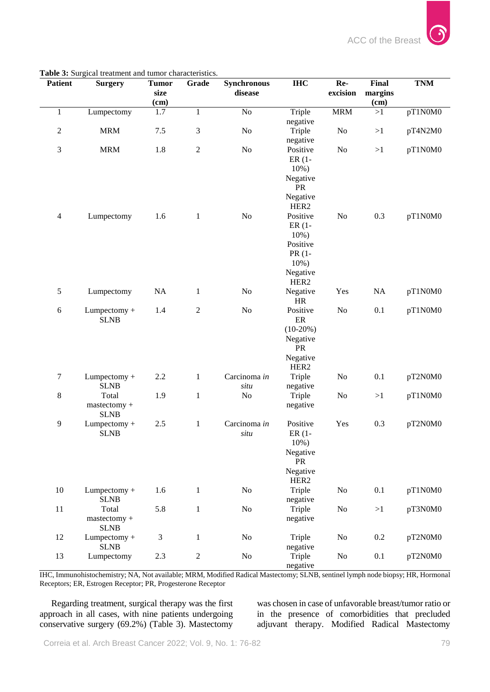| Patient        | <b>Surgery</b>              | <b>Tumor</b> | Grade          | <b>Synchronous</b> | <b>IHC</b>                   | Re-            | <b>Final</b>    | <b>TNM</b> |
|----------------|-----------------------------|--------------|----------------|--------------------|------------------------------|----------------|-----------------|------------|
|                |                             | size<br>(cm) |                | disease            |                              | excision       | margins<br>(cm) |            |
| $\mathbf{1}$   | Lumpectomy                  | 1.7          | 1              | No                 | Triple                       | <b>MRM</b>     | >1              | pT1N0M0    |
|                |                             |              |                |                    | negative                     |                |                 |            |
| $\sqrt{2}$     | <b>MRM</b>                  | 7.5          | 3              | N <sub>o</sub>     | Triple<br>negative           | N <sub>o</sub> | >1              | pT4N2M0    |
| $\mathfrak{Z}$ | <b>MRM</b>                  | 1.8          | $\sqrt{2}$     | No                 | Positive                     | N <sub>o</sub> | >1              | pT1N0M0    |
|                |                             |              |                |                    | $ER(1 -$                     |                |                 |            |
|                |                             |              |                |                    | 10%)                         |                |                 |            |
|                |                             |              |                |                    | Negative<br>PR               |                |                 |            |
|                |                             |              |                |                    | Negative                     |                |                 |            |
|                |                             |              |                |                    | HER <sub>2</sub>             |                |                 |            |
| $\overline{4}$ | Lumpectomy                  | 1.6          | $\mathbf{1}$   | No                 | Positive                     | N <sub>o</sub> | 0.3             | pT1N0M0    |
|                |                             |              |                |                    | $ER(1 -$                     |                |                 |            |
|                |                             |              |                |                    | 10%)<br>Positive             |                |                 |            |
|                |                             |              |                |                    | PR (1-                       |                |                 |            |
|                |                             |              |                |                    | $10%$ )                      |                |                 |            |
|                |                             |              |                |                    | Negative                     |                |                 |            |
|                |                             |              |                |                    | HER <sub>2</sub>             |                |                 |            |
| $\mathfrak{S}$ | Lumpectomy                  | <b>NA</b>    | $\mathbf{1}$   | N <sub>o</sub>     | Negative                     | Yes            | NA              | pT1N0M0    |
| $\sqrt{6}$     | Lumpectomy +                | 1.4          | $\sqrt{2}$     | No                 | <b>HR</b><br>Positive        | N <sub>o</sub> | 0.1             | pT1N0M0    |
|                | <b>SLNB</b>                 |              |                |                    | $\rm ER$                     |                |                 |            |
|                |                             |              |                |                    | $(10-20%)$                   |                |                 |            |
|                |                             |              |                |                    | Negative                     |                |                 |            |
|                |                             |              |                |                    | PR                           |                |                 |            |
|                |                             |              |                |                    | Negative<br>HER <sub>2</sub> |                |                 |            |
| 7              | Lumpectomy +                | 2.2          | $\mathbf{1}$   | Carcinoma in       | Triple                       | N <sub>o</sub> | 0.1             | pT2N0M0    |
|                | <b>SLNB</b>                 |              |                | situ               | negative                     |                |                 |            |
| 8              | Total                       | 1.9          | $\mathbf{1}$   | N <sub>o</sub>     | Triple                       | N <sub>o</sub> | >1              | pT1N0M0    |
|                | mastectomy +                |              |                |                    | negative                     |                |                 |            |
| 9              | <b>SLNB</b><br>Lumpectomy + | $2.5\,$      | $\mathbf{1}$   | Carcinoma in       | Positive                     | Yes            | 0.3             | pT2N0M0    |
|                | <b>SLNB</b>                 |              |                | situ               | $ER(1 -$                     |                |                 |            |
|                |                             |              |                |                    | $10\%$ )                     |                |                 |            |
|                |                             |              |                |                    | Negative                     |                |                 |            |
|                |                             |              |                |                    | PR                           |                |                 |            |
|                |                             |              |                |                    | Negative<br>HER <sub>2</sub> |                |                 |            |
| $10\,$         | Lumpectomy +                | 1.6          | $\mathbf{1}$   | No                 | Triple                       | $\rm No$       | 0.1             | pT1N0M0    |
|                | <b>SLNB</b>                 |              |                |                    | negative                     |                |                 |            |
| $11\,$         | Total                       | 5.8          | $\mathbf{1}$   | No                 | Triple                       | No             | >1              | pT3N0M0    |
|                | mastectomy +                |              |                |                    | negative                     |                |                 |            |
| 12             | <b>SLNB</b><br>Lumpectomy + | 3            | $\mathbf{1}$   | N <sub>o</sub>     | Triple                       | $\rm No$       | 0.2             | pT2N0M0    |
|                | <b>SLNB</b>                 |              |                |                    | negative                     |                |                 |            |
| 13             | Lumpectomy                  | 2.3          | $\overline{c}$ | $\rm No$           | Triple                       | $\rm No$       | 0.1             | pT2N0M0    |
|                |                             |              |                |                    | negative                     |                |                 |            |

**Table 3:** Surgical treatment and tumor characteristics.

IHC, Immunohistochemistry; NA, Not available; MRM, Modified Radical Mastectomy; SLNB, sentinel lymph node biopsy; HR, Hormonal Receptors; ER, Estrogen Receptor; PR, Progesterone Receptor

Regarding treatment, surgical therapy was the first approach in all cases, with nine patients undergoing conservative surgery (69.2%) (Table 3). Mastectomy

was chosen in case of unfavorable breast/tumor ratio or in the presence of comorbidities that precluded adjuvant therapy. Modified Radical Mastectomy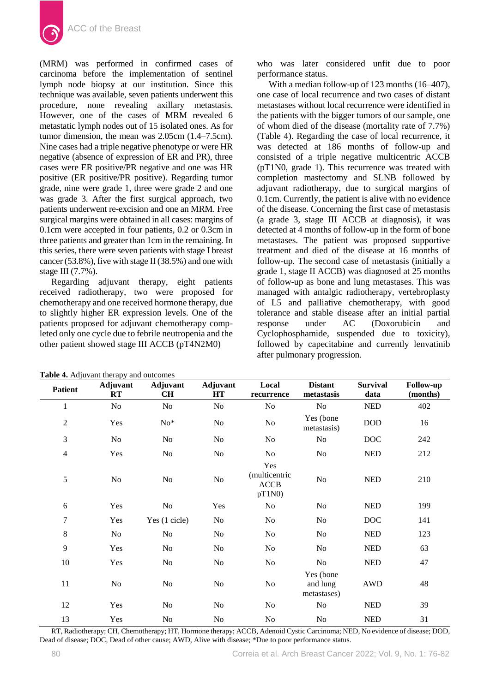

(MRM) was performed in confirmed cases of carcinoma before the implementation of sentinel lymph node biopsy at our institution. Since this technique was available, seven patients underwent this procedure, none revealing axillary metastasis. However, one of the cases of MRM revealed 6 metastatic lymph nodes out of 15 isolated ones. As for tumor dimension, the mean was 2.05cm (1.4–7.5cm). Nine cases had a triple negative phenotype or were HR negative (absence of expression of ER and PR), three cases were ER positive/PR negative and one was HR positive (ER positive/PR positive). Regarding tumor grade, nine were grade 1, three were grade 2 and one was grade 3. After the first surgical approach, two patients underwent re-excision and one an MRM. Free surgical margins were obtained in all cases: margins of 0.1cm were accepted in four patients, 0.2 or 0.3cm in three patients and greater than 1cm in the remaining. In this series, there were seven patients with stage I breast cancer (53.8%), five with stage II (38.5%) and one with stage III (7.7%).

Regarding adjuvant therapy, eight patients received radiotherapy, two were proposed for chemotherapy and one received hormone therapy, due to slightly higher ER expression levels. One of the patients proposed for adjuvant chemotherapy completed only one cycle due to febrile neutropenia and the other patient showed stage III ACCB (pT4N2M0)

who was later considered unfit due to poor performance status.

With a median follow-up of 123 months (16–407), one case of local recurrence and two cases of distant metastases without local recurrence were identified in the patients with the bigger tumors of our sample, one of whom died of the disease (mortality rate of 7.7%) (Table 4). Regarding the case of local recurrence, it was detected at 186 months of follow-up and consisted of a triple negative multicentric ACCB (pT1N0, grade 1). This recurrence was treated with completion mastectomy and SLNB followed by adjuvant radiotherapy, due to surgical margins of 0.1cm. Currently, the patient is alive with no evidence of the disease. Concerning the first case of metastasis (a grade 3, stage III ACCB at diagnosis), it was detected at 4 months of follow-up in the form of bone metastases. The patient was proposed supportive treatment and died of the disease at 16 months of follow-up. The second case of metastasis (initially a grade 1, stage II ACCB) was diagnosed at 25 months of follow-up as bone and lung metastases. This was managed with antalgic radiotherapy, vertebroplasty of L5 and palliative chemotherapy, with good tolerance and stable disease after an initial partial response under AC (Doxorubicin and Cyclophosphamide, suspended due to toxicity), followed by capecitabine and currently lenvatinib after pulmonary progression.

| Table 4. Adjuvant therapy and outcomes |                |                       |                       |                                              |                                      |                             |                              |  |
|----------------------------------------|----------------|-----------------------|-----------------------|----------------------------------------------|--------------------------------------|-----------------------------|------------------------------|--|
| <b>Patient</b>                         | Adjuvant<br>RT | <b>Adjuvant</b><br>CН | <b>Adjuvant</b><br>HT | Local<br>recurrence                          | <b>Distant</b><br>metastasis         | <b>Survival</b><br>data     | <b>Follow-up</b><br>(months) |  |
| $\,1\,$                                | No             | No                    | N <sub>o</sub>        | No                                           | N <sub>o</sub>                       | <b>NED</b>                  | 402                          |  |
| $\mathfrak{2}$                         | Yes            | $No*$                 | No                    | No                                           | Yes (bone<br>metastasis)             | <b>DOD</b>                  | 16                           |  |
| 3                                      | No             | No                    | No                    | No                                           | No                                   | <b>DOC</b>                  | 242                          |  |
| $\overline{4}$                         | Yes            | No                    | N <sub>o</sub>        | No                                           | No                                   | <b>NED</b>                  | 212                          |  |
| 5                                      | N <sub>o</sub> | N <sub>o</sub>        | N <sub>o</sub>        | Yes<br>(multicentric<br><b>ACCB</b><br>pT1N0 | No                                   | <b>NED</b>                  | 210                          |  |
| 6                                      | Yes            | No                    | Yes                   | No                                           | No                                   | $\ensuremath{\mathsf{NED}}$ | 199                          |  |
| $\boldsymbol{7}$                       | Yes            | Yes (1 cicle)         | No                    | No                                           | No                                   | <b>DOC</b>                  | 141                          |  |
| 8                                      | N <sub>o</sub> | No                    | No                    | No                                           | No                                   | <b>NED</b>                  | 123                          |  |
| 9                                      | Yes            | No                    | N <sub>o</sub>        | No                                           | No                                   | <b>NED</b>                  | 63                           |  |
| 10                                     | Yes            | No                    | N <sub>o</sub>        | No                                           | No                                   | <b>NED</b>                  | 47                           |  |
| 11                                     | No             | $\rm No$              | N <sub>o</sub>        | No                                           | Yes (bone<br>and lung<br>metastases) | <b>AWD</b>                  | 48                           |  |
| 12                                     | Yes            | N <sub>o</sub>        | No                    | No                                           | No                                   | <b>NED</b>                  | 39                           |  |
| 13                                     | Yes            | No                    | No                    | No                                           | No                                   | <b>NED</b>                  | 31                           |  |

RT, Radiotherapy; CH, Chemotherapy; HT, Hormone therapy; ACCB, Adenoid Cystic Carcinoma; NED, No evidence of disease; DOD, Dead of disease; DOC, Dead of other cause; AWD, Alive with disease; \*Due to poor performance status.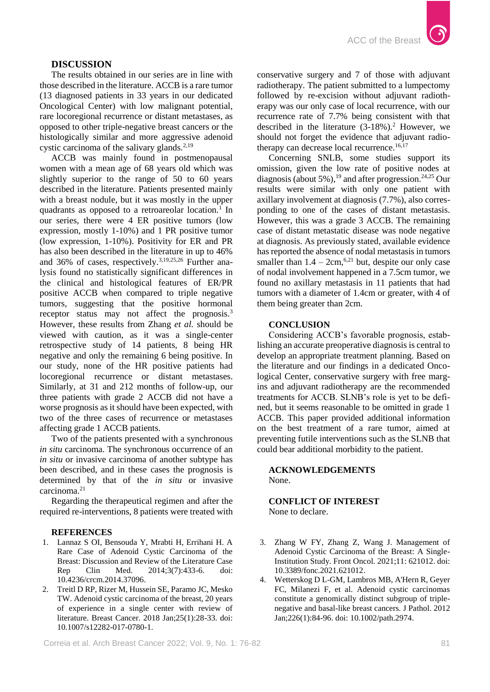# **DISCUSSION**

The results obtained in our series are in line with those described in the literature. ACCB is a rare tumor (13 diagnosed patients in 33 years in our dedicated Oncological Center) with low malignant potential, rare locoregional recurrence or distant metastases, as opposed to other triple-negative breast cancers or the histologically similar and more aggressive adenoid cystic carcinoma of the salivary glands.<sup>2,19</sup>

ACCB was mainly found in postmenopausal women with a mean age of 68 years old which was slightly superior to the range of 50 to 60 years described in the literature. Patients presented mainly with a breast nodule, but it was mostly in the upper quadrants as opposed to a retroareolar location.<sup>1</sup> In our series, there were 4 ER positive tumors (low expression, mostly 1-10%) and 1 PR positive tumor (low expression, 1-10%). Positivity for ER and PR has also been described in the literature in up to 46% and 36% of cases, respectively.3,19,25,26 Further analysis found no statistically significant differences in the clinical and histological features of ER/PR positive ACCB when compared to triple negative tumors, suggesting that the positive hormonal receptor status may not affect the prognosis.<sup>3</sup> However, these results from Zhang *et al.* should be viewed with caution, as it was a single-center retrospective study of 14 patients, 8 being HR negative and only the remaining 6 being positive. In our study, none of the HR positive patients had locoregional recurrence or distant metastases. Similarly, at 31 and 212 months of follow-up, our three patients with grade 2 ACCB did not have a worse prognosis as it should have been expected, with two of the three cases of recurrence or metastases affecting grade 1 ACCB patients.

Two of the patients presented with a synchronous *in situ* carcinoma. The synchronous occurrence of an *in situ* or invasive carcinoma of another subtype has been described, and in these cases the prognosis is determined by that of the *in situ* or invasive carcinoma.<sup>21</sup>

Regarding the therapeutical regimen and after the required re-interventions, 8 patients were treated with

#### **REFERENCES**

- 1. Lannaz S OI, Bensouda Y, Mrabti H, Errihani H. A Rare Case of Adenoid Cystic Carcinoma of the Breast: Discussion and Review of the Literature Case Rep Clin Med. 2014;3(7):433-6. doi: [10.4236/crcm.2014.37096.](https://doi.org/http:/dx.doi.org-/10.4236/crcm.2014.37096)
- 2. Treitl D RP, Rizer M, Hussein SE, Paramo JC, Mesko TW. Adenoid cystic carcinoma of the breast, 20 years of experience in a single center with review of literature. Breast Cancer. 2018 Jan;25(1):28-33. doi: [10.1007/s12282-017-0780-1.](https://doi.org/-https:/doi.org/10.1007/s12282-017-0780-1)

conservative surgery and 7 of those with adjuvant radiotherapy. The patient submitted to a lumpectomy followed by re-excision without adjuvant radiotherapy was our only case of local recurrence, with our recurrence rate of 7.7% being consistent with that described in the literature  $(3-18\%)$ .<sup>2</sup> However, we should not forget the evidence that adjuvant radiotherapy can decrease local recurrence.<sup>16,17</sup>

Concerning SNLB, some studies support its omission, given the low rate of positive nodes at diagnosis (about 5%),<sup>19</sup> and after progression.<sup>24,25</sup> Our results were similar with only one patient with axillary involvement at diagnosis (7.7%), also corresponding to one of the cases of distant metastasis. However, this was a grade 3 ACCB. The remaining case of distant metastatic disease was node negative at diagnosis. As previously stated, available evidence has reported the absence of nodal metastasis in tumors smaller than  $1.4 - 2 \text{cm}$ ,<sup>6,21</sup> but, despite our only case of nodal involvement happened in a 7.5cm tumor, we found no axillary metastasis in 11 patients that had tumors with a diameter of 1.4cm or greater, with 4 of them being greater than 2cm.

### **CONCLUSION**

Considering ACCB's favorable prognosis, establishing an accurate preoperative diagnosis is central to develop an appropriate treatment planning. Based on the literature and our findings in a dedicated Oncological Center, conservative surgery with free margins and adjuvant radiotherapy are the recommended treatments for ACCB. SLNB's role is yet to be defined, but it seems reasonable to be omitted in grade 1 ACCB. This paper provided additional information on the best treatment of a rare tumor, aimed at preventing futile interventions such as the SLNB that could bear additional morbidity to the patient.

## **ACKNOWLEDGEMENTS** None.

# **CONFLICT OF INTEREST** None to declare.

- 3. Zhang W FY, Zhang Z, Wang J. Management of Adenoid Cystic Carcinoma of the Breast: A Single-Institution Study. Front Oncol. 2021;11: 621012. doi: [10.3389/fonc.2021.621012.](https://doi.org/https:/doi.org-/10.3389/fonc.2021.621012)
- 4. Wetterskog D L-GM, Lambros MB, A'Hern R, Geyer FC, Milanezi F, et al. Adenoid cystic carcinomas constitute a genomically distinct subgroup of triplenegative and basal-like breast cancers. J Pathol. 2012 Jan;226(1):84-96. doi[: 10.1002/path.2974.](https://doi.org/https:/doi.org/10.1002/path.2974)

Correia et al. Arch Breast Cancer 2022; Vol. 9, No. 1: 76-82 81